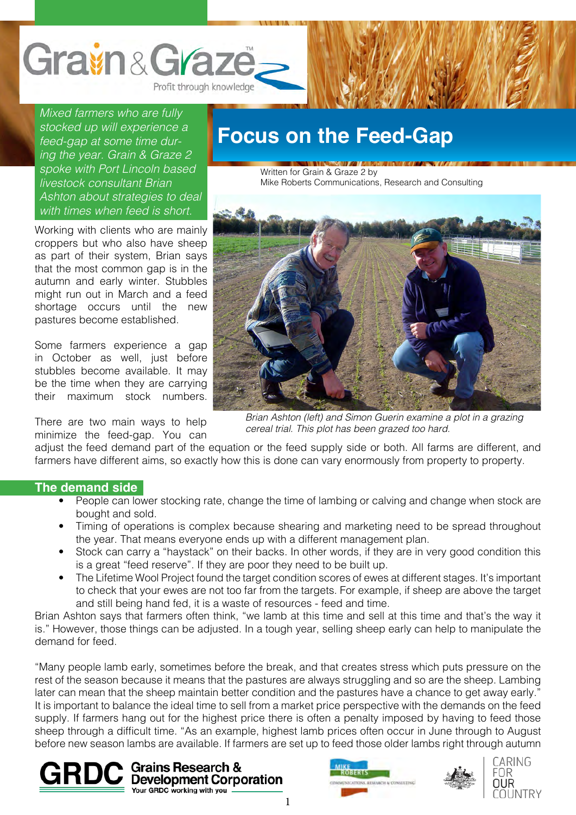

*Mixed farmers who are fully stocked up will experience a feed-gap at some time during the year. Grain & Graze 2 spoke with Port Lincoln based livestock consultant Brian Ashton about strategies to deal with times when feed is short.*

Working with clients who are mainly croppers but who also have sheep as part of their system, Brian says that the most common gap is in the autumn and early winter. Stubbles might run out in March and a feed shortage occurs until the new pastures become established.

Some farmers experience a gap in October as well, just before stubbles become available. It may be the time when they are carrying their maximum stock numbers.

There are two main ways to help minimize the feed-gap. You can

### **Focus on the Feed-Gap**

Written for Grain & Graze 2 by Mike Roberts Communications, Research and Consulting



*Brian Ashton (left) and Simon Guerin examine a plot in a grazing cereal trial. This plot has been grazed too hard.*

adjust the feed demand part of the equation or the feed supply side or both. All farms are different, and farmers have different aims, so exactly how this is done can vary enormously from property to property.

#### **The demand side**

- People can lower stocking rate, change the time of lambing or calving and change when stock are bought and sold.
- Timing of operations is complex because shearing and marketing need to be spread throughout the year. That means everyone ends up with a different management plan.
- Stock can carry a "haystack" on their backs. In other words, if they are in very good condition this is a great "feed reserve". If they are poor they need to be built up.
- The Lifetime Wool Project found the target condition scores of ewes at different stages. It's important to check that your ewes are not too far from the targets. For example, if sheep are above the target and still being hand fed, it is a waste of resources - feed and time.

Brian Ashton says that farmers often think, "we lamb at this time and sell at this time and that's the way it is." However, those things can be adjusted. In a tough year, selling sheep early can help to manipulate the demand for feed.

"Many people lamb early, sometimes before the break, and that creates stress which puts pressure on the rest of the season because it means that the pastures are always struggling and so are the sheep. Lambing later can mean that the sheep maintain better condition and the pastures have a chance to get away early." It is important to balance the ideal time to sell from a market price perspective with the demands on the feed supply. If farmers hang out for the highest price there is often a penalty imposed by having to feed those sheep through a difficult time. "As an example, highest lamb prices often occur in June through to August before new season lambs are available. If farmers are set up to feed those older lambs right through autumn







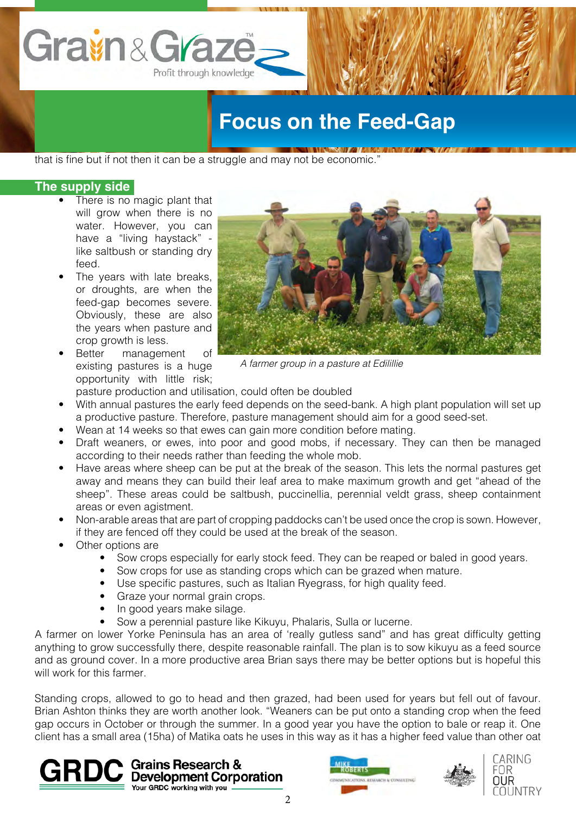

# **Focus on the Feed-Gap**

that is fine but if not then it can be a struggle and may not be economic."

#### **The supply side**

- There is no magic plant that will grow when there is no water. However, you can have a "living haystack" like saltbush or standing dry feed.
- The years with late breaks, or droughts, are when the feed-gap becomes severe. Obviously, these are also the years when pasture and crop growth is less.
- Better management of existing pastures is a huge opportunity with little risk;



*A farmer group in a pasture at Edilillie*

- pasture production and utilisation, could often be doubled
- With annual pastures the early feed depends on the seed-bank. A high plant population will set up a productive pasture. Therefore, pasture management should aim for a good seed-set.
- Wean at 14 weeks so that ewes can gain more condition before mating.
- Draft weaners, or ewes, into poor and good mobs, if necessary. They can then be managed according to their needs rather than feeding the whole mob.
- Have areas where sheep can be put at the break of the season. This lets the normal pastures get away and means they can build their leaf area to make maximum growth and get "ahead of the sheep". These areas could be saltbush, puccinellia, perennial veldt grass, sheep containment areas or even agistment.
- Non-arable areas that are part of cropping paddocks can't be used once the crop is sown. However, if they are fenced off they could be used at the break of the season.
- Other options are
	- Sow crops especially for early stock feed. They can be reaped or baled in good years.
	- Sow crops for use as standing crops which can be grazed when mature.
	- Use specific pastures, such as Italian Ryegrass, for high quality feed.
	- Graze your normal grain crops.
	- In good years make silage.
	- Sow a perennial pasture like Kikuyu, Phalaris, Sulla or lucerne.

A farmer on lower Yorke Peninsula has an area of 'really gutless sand" and has great difficulty getting anything to grow successfully there, despite reasonable rainfall. The plan is to sow kikuyu as a feed source and as ground cover. In a more productive area Brian says there may be better options but is hopeful this will work for this farmer.

Standing crops, allowed to go to head and then grazed, had been used for years but fell out of favour. Brian Ashton thinks they are worth another look. "Weaners can be put onto a standing crop when the feed gap occurs in October or through the summer. In a good year you have the option to bale or reap it. One client has a small area (15ha) of Matika oats he uses in this way as it has a higher feed value than other oat

 $\mathbf{GRDC}$  Grains Research &  $\mathbf{GROC}$  Development Corporation Your GRDC working with you